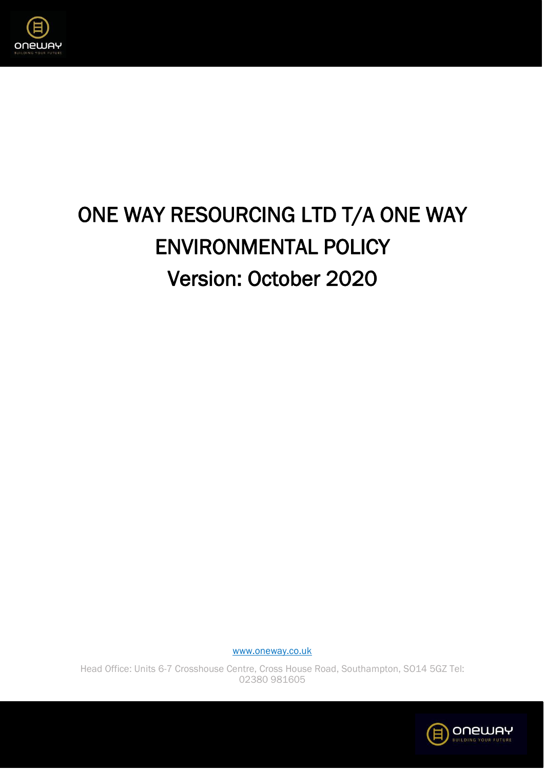

# ONE WAY RESOURCING LTD T/A ONE WAY ENVIRONMENTAL POLICY Version: October 2020

[www.oneway.co.uk](http://www.oneway.co.uk/)

Head Office: Units 6-7 Crosshouse Centre, Cross House Road, Southampton, SO14 5GZ Tel: 02380 981605

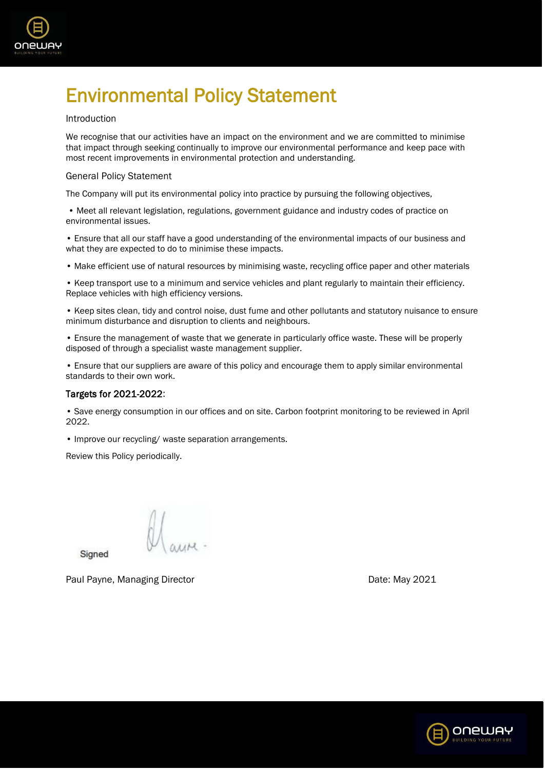

# Environmental Policy Statement

# Introduction

We recognise that our activities have an impact on the environment and we are committed to minimise that impact through seeking continually to improve our environmental performance and keep pace with most recent improvements in environmental protection and understanding.

# General Policy Statement

The Company will put its environmental policy into practice by pursuing the following objectives,

• Meet all relevant legislation, regulations, government guidance and industry codes of practice on environmental issues.

• Ensure that all our staff have a good understanding of the environmental impacts of our business and what they are expected to do to minimise these impacts.

• Make efficient use of natural resources by minimising waste, recycling office paper and other materials

• Keep transport use to a minimum and service vehicles and plant regularly to maintain their efficiency. Replace vehicles with high efficiency versions.

• Keep sites clean, tidy and control noise, dust fume and other pollutants and statutory nuisance to ensure minimum disturbance and disruption to clients and neighbours.

• Ensure the management of waste that we generate in particularly office waste. These will be properly disposed of through a specialist waste management supplier.

• Ensure that our suppliers are aware of this policy and encourage them to apply similar environmental standards to their own work.

# Targets for 2021-2022:

• Save energy consumption in our offices and on site. Carbon footprint monitoring to be reviewed in April 2022.

• Improve our recycling/ waste separation arrangements.

Review this Policy periodically.

Signed

Paul Payne, Managing Director **Date: Accord Payne, Managing Director** Control Date: May 2021

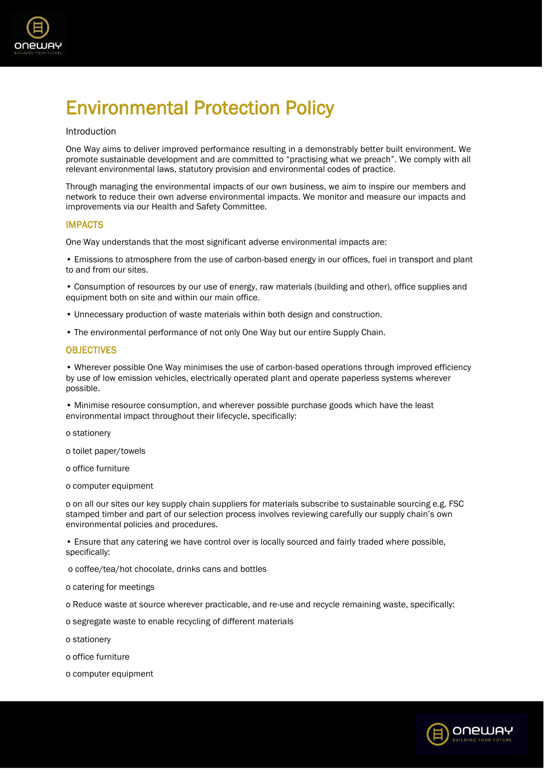

# Environmental Protection Policy

#### Introduction

One Way aims to deliver improved performance resulting in a demonstrably better built environment. We promote sustainable development and are committed to "practising what we preach". We comply with all relevant environmental laws, statutory provision and environmental codes of practice.

Through managing the environmental impacts of our own business, we aim to inspire our members and network to reduce their own adverse environmental impacts. We monitor and measure our impacts and improvements via our Health and Safety Committee.

# IMPACTS

One Way understands that the most significant adverse environmental impacts are:

• Emissions to atmosphere from the use of carbon-based energy in our offices, fuel in transport and plant to and from our sites.

• Consumption of resources by our use of energy, raw materials (building and other), office supplies and equipment both on site and within our main office.

- Unnecessary production of waste materials within both design and construction.
- The environmental performance of not only One Way but our entire Supply Chain.

# **OBJECTIVES**

• Wherever possible One Way minimises the use of carbon-based operations through improved efficiency by use of low emission vehicles, electrically operated plant and operate paperless systems wherever possible.

• Minimise resource consumption, and wherever possible purchase goods which have the least environmental impact throughout their lifecycle, specifically:

o stationery

o toilet paper/towels

o office furniture

o computer equipment

o on all our sites our key supply chain suppliers for materials subscribe to sustainable sourcing e.g. FSC stamped timber and part of our selection process involves reviewing carefully our supply chain's own environmental policies and procedures.

• Ensure that any catering we have control over is locally sourced and fairly traded where possible, specifically:

o coffee/tea/hot chocolate, drinks cans and bottles

o catering for meetings

o Reduce waste at source wherever practicable, and re-use and recycle remaining waste, specifically:

o segregate waste to enable recycling of different materials

o stationery

o office furniture

o computer equipment

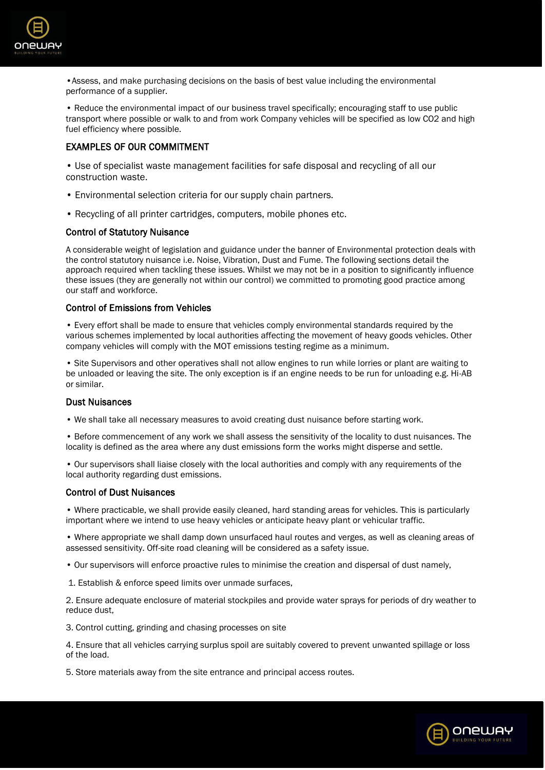

•Assess, and make purchasing decisions on the basis of best value including the environmental performance of a supplier.

• Reduce the environmental impact of our business travel specifically; encouraging staff to use public transport where possible or walk to and from work Company vehicles will be specified as low CO2 and high fuel efficiency where possible.

# EXAMPLES OF OUR COMMITMENT

• Use of specialist waste management facilities for safe disposal and recycling of all our construction waste.

- Environmental selection criteria for our supply chain partners.
- Recycling of all printer cartridges, computers, mobile phones etc.

# Control of Statutory Nuisance

A considerable weight of legislation and guidance under the banner of Environmental protection deals with the control statutory nuisance i.e. Noise, Vibration, Dust and Fume. The following sections detail the approach required when tackling these issues. Whilst we may not be in a position to significantly influence these issues (they are generally not within our control) we committed to promoting good practice among our staff and workforce.

#### Control of Emissions from Vehicles

• Every effort shall be made to ensure that vehicles comply environmental standards required by the various schemes implemented by local authorities affecting the movement of heavy goods vehicles. Other company vehicles will comply with the MOT emissions testing regime as a minimum.

• Site Supervisors and other operatives shall not allow engines to run while lorries or plant are waiting to be unloaded or leaving the site. The only exception is if an engine needs to be run for unloading e.g. Hi-AB or similar.

#### Dust Nuisances

• We shall take all necessary measures to avoid creating dust nuisance before starting work.

• Before commencement of any work we shall assess the sensitivity of the locality to dust nuisances. The locality is defined as the area where any dust emissions form the works might disperse and settle.

• Our supervisors shall liaise closely with the local authorities and comply with any requirements of the local authority regarding dust emissions.

#### Control of Dust Nuisances

• Where practicable, we shall provide easily cleaned, hard standing areas for vehicles. This is particularly important where we intend to use heavy vehicles or anticipate heavy plant or vehicular traffic.

• Where appropriate we shall damp down unsurfaced haul routes and verges, as well as cleaning areas of assessed sensitivity. Off-site road cleaning will be considered as a safety issue.

• Our supervisors will enforce proactive rules to minimise the creation and dispersal of dust namely,

1. Establish & enforce speed limits over unmade surfaces,

2. Ensure adequate enclosure of material stockpiles and provide water sprays for periods of dry weather to reduce dust,

3. Control cutting, grinding and chasing processes on site

4. Ensure that all vehicles carrying surplus spoil are suitably covered to prevent unwanted spillage or loss of the load.

5. Store materials away from the site entrance and principal access routes.

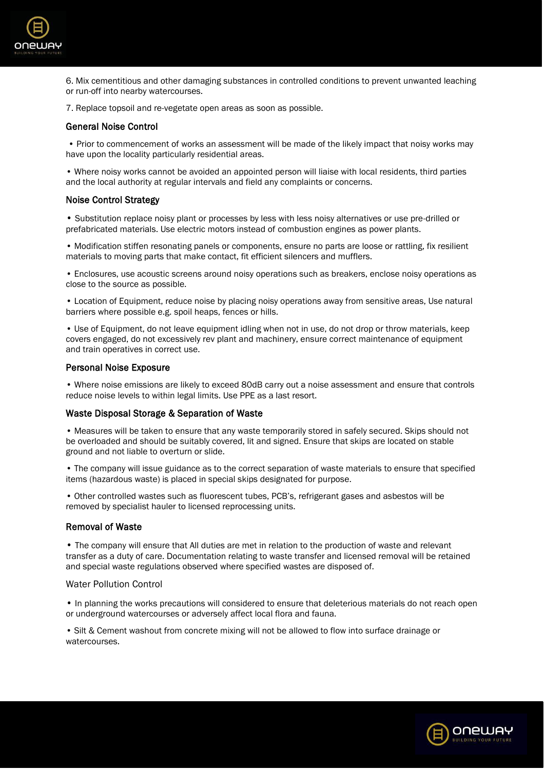

6. Mix cementitious and other damaging substances in controlled conditions to prevent unwanted leaching or run-off into nearby watercourses.

7. Replace topsoil and re-vegetate open areas as soon as possible.

#### General Noise Control

• Prior to commencement of works an assessment will be made of the likely impact that noisy works may have upon the locality particularly residential areas.

• Where noisy works cannot be avoided an appointed person will liaise with local residents, third parties and the local authority at regular intervals and field any complaints or concerns.

#### Noise Control Strategy

• Substitution replace noisy plant or processes by less with less noisy alternatives or use pre-drilled or prefabricated materials. Use electric motors instead of combustion engines as power plants.

• Modification stiffen resonating panels or components, ensure no parts are loose or rattling, fix resilient materials to moving parts that make contact, fit efficient silencers and mufflers.

• Enclosures, use acoustic screens around noisy operations such as breakers, enclose noisy operations as close to the source as possible.

• Location of Equipment, reduce noise by placing noisy operations away from sensitive areas, Use natural barriers where possible e.g. spoil heaps, fences or hills.

• Use of Equipment, do not leave equipment idling when not in use, do not drop or throw materials, keep covers engaged, do not excessively rev plant and machinery, ensure correct maintenance of equipment and train operatives in correct use.

#### Personal Noise Exposure

• Where noise emissions are likely to exceed 80dB carry out a noise assessment and ensure that controls reduce noise levels to within legal limits. Use PPE as a last resort.

#### Waste Disposal Storage & Separation of Waste

• Measures will be taken to ensure that any waste temporarily stored in safely secured. Skips should not be overloaded and should be suitably covered, lit and signed. Ensure that skips are located on stable ground and not liable to overturn or slide.

• The company will issue guidance as to the correct separation of waste materials to ensure that specified items (hazardous waste) is placed in special skips designated for purpose.

• Other controlled wastes such as fluorescent tubes, PCB's, refrigerant gases and asbestos will be removed by specialist hauler to licensed reprocessing units.

#### Removal of Waste

• The company will ensure that All duties are met in relation to the production of waste and relevant transfer as a duty of care. Documentation relating to waste transfer and licensed removal will be retained and special waste regulations observed where specified wastes are disposed of.

#### Water Pollution Control

• In planning the works precautions will considered to ensure that deleterious materials do not reach open or underground watercourses or adversely affect local flora and fauna.

• Silt & Cement washout from concrete mixing will not be allowed to flow into surface drainage or watercourses.